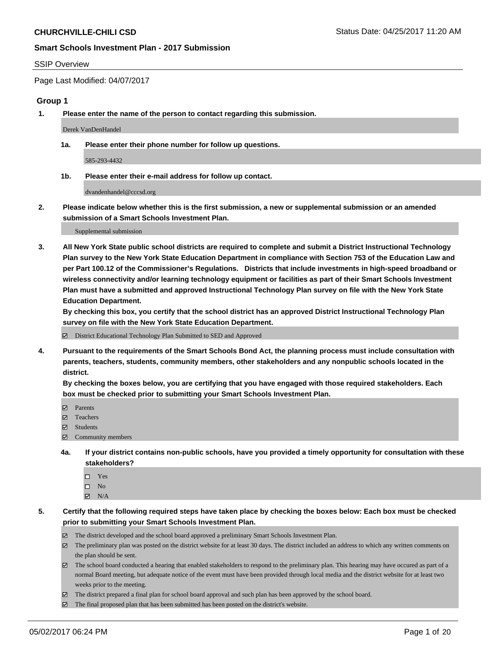#### SSIP Overview

Page Last Modified: 04/07/2017

### **Group 1**

**1. Please enter the name of the person to contact regarding this submission.**

Derek VanDenHandel

**1a. Please enter their phone number for follow up questions.**

585-293-4432

**1b. Please enter their e-mail address for follow up contact.**

dvandenhandel@cccsd.org

**2. Please indicate below whether this is the first submission, a new or supplemental submission or an amended submission of a Smart Schools Investment Plan.**

Supplemental submission

**3. All New York State public school districts are required to complete and submit a District Instructional Technology Plan survey to the New York State Education Department in compliance with Section 753 of the Education Law and per Part 100.12 of the Commissioner's Regulations. Districts that include investments in high-speed broadband or wireless connectivity and/or learning technology equipment or facilities as part of their Smart Schools Investment Plan must have a submitted and approved Instructional Technology Plan survey on file with the New York State Education Department.** 

**By checking this box, you certify that the school district has an approved District Instructional Technology Plan survey on file with the New York State Education Department.**

District Educational Technology Plan Submitted to SED and Approved

**4. Pursuant to the requirements of the Smart Schools Bond Act, the planning process must include consultation with parents, teachers, students, community members, other stakeholders and any nonpublic schools located in the district.** 

**By checking the boxes below, you are certifying that you have engaged with those required stakeholders. Each box must be checked prior to submitting your Smart Schools Investment Plan.**

- **マ** Parents
- □ Teachers
- Students
- $\Xi$  Community members
- **4a. If your district contains non-public schools, have you provided a timely opportunity for consultation with these stakeholders?**
	- Yes
	- $\hfill \square$  No
	- $\boxtimes$  N/A
- **5. Certify that the following required steps have taken place by checking the boxes below: Each box must be checked prior to submitting your Smart Schools Investment Plan.**
	- The district developed and the school board approved a preliminary Smart Schools Investment Plan.
	- $\boxtimes$  The preliminary plan was posted on the district website for at least 30 days. The district included an address to which any written comments on the plan should be sent.
	- $\boxtimes$  The school board conducted a hearing that enabled stakeholders to respond to the preliminary plan. This hearing may have occured as part of a normal Board meeting, but adequate notice of the event must have been provided through local media and the district website for at least two weeks prior to the meeting.
	- The district prepared a final plan for school board approval and such plan has been approved by the school board.
	- $\boxtimes$  The final proposed plan that has been submitted has been posted on the district's website.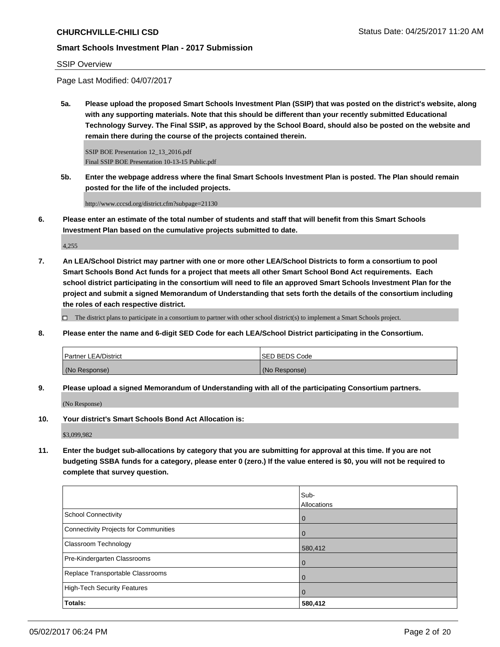### SSIP Overview

Page Last Modified: 04/07/2017

**5a. Please upload the proposed Smart Schools Investment Plan (SSIP) that was posted on the district's website, along with any supporting materials. Note that this should be different than your recently submitted Educational Technology Survey. The Final SSIP, as approved by the School Board, should also be posted on the website and remain there during the course of the projects contained therein.**

SSIP BOE Presentation 12\_13\_2016.pdf Final SSIP BOE Presentation 10-13-15 Public.pdf

**5b. Enter the webpage address where the final Smart Schools Investment Plan is posted. The Plan should remain posted for the life of the included projects.**

http://www.cccsd.org/district.cfm?subpage=21130

**6. Please enter an estimate of the total number of students and staff that will benefit from this Smart Schools Investment Plan based on the cumulative projects submitted to date.**

4,255

**7. An LEA/School District may partner with one or more other LEA/School Districts to form a consortium to pool Smart Schools Bond Act funds for a project that meets all other Smart School Bond Act requirements. Each school district participating in the consortium will need to file an approved Smart Schools Investment Plan for the project and submit a signed Memorandum of Understanding that sets forth the details of the consortium including the roles of each respective district.**

 $\Box$  The district plans to participate in a consortium to partner with other school district(s) to implement a Smart Schools project.

**8. Please enter the name and 6-digit SED Code for each LEA/School District participating in the Consortium.**

| <b>Partner LEA/District</b> | ISED BEDS Code |
|-----------------------------|----------------|
| (No Response)               | (No Response)  |

**9. Please upload a signed Memorandum of Understanding with all of the participating Consortium partners.**

(No Response)

**10. Your district's Smart Schools Bond Act Allocation is:**

\$3,099,982

**11. Enter the budget sub-allocations by category that you are submitting for approval at this time. If you are not budgeting SSBA funds for a category, please enter 0 (zero.) If the value entered is \$0, you will not be required to complete that survey question.**

|                                       | Sub-        |
|---------------------------------------|-------------|
|                                       | Allocations |
| <b>School Connectivity</b>            | l 0         |
| Connectivity Projects for Communities | l 0         |
| <b>Classroom Technology</b>           | 580,412     |
| Pre-Kindergarten Classrooms           | l O         |
| Replace Transportable Classrooms      |             |
| High-Tech Security Features           | l 0         |
| Totals:                               | 580,412     |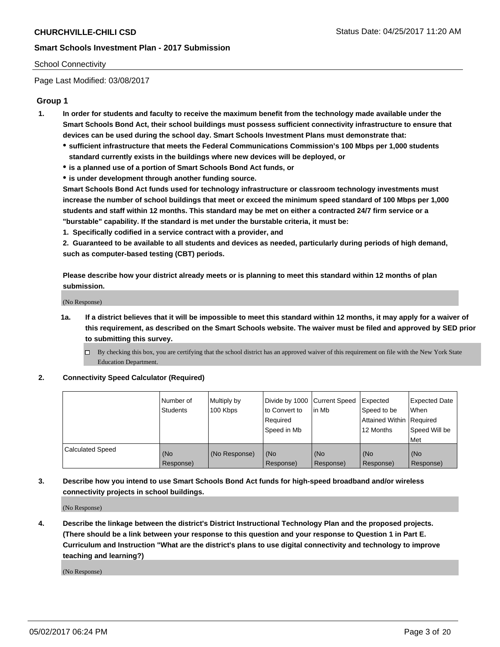#### School Connectivity

Page Last Modified: 03/08/2017

## **Group 1**

- **1. In order for students and faculty to receive the maximum benefit from the technology made available under the Smart Schools Bond Act, their school buildings must possess sufficient connectivity infrastructure to ensure that devices can be used during the school day. Smart Schools Investment Plans must demonstrate that:**
	- **sufficient infrastructure that meets the Federal Communications Commission's 100 Mbps per 1,000 students standard currently exists in the buildings where new devices will be deployed, or**
	- **is a planned use of a portion of Smart Schools Bond Act funds, or**
	- **is under development through another funding source.**

**Smart Schools Bond Act funds used for technology infrastructure or classroom technology investments must increase the number of school buildings that meet or exceed the minimum speed standard of 100 Mbps per 1,000 students and staff within 12 months. This standard may be met on either a contracted 24/7 firm service or a "burstable" capability. If the standard is met under the burstable criteria, it must be:**

**1. Specifically codified in a service contract with a provider, and**

**2. Guaranteed to be available to all students and devices as needed, particularly during periods of high demand, such as computer-based testing (CBT) periods.**

**Please describe how your district already meets or is planning to meet this standard within 12 months of plan submission.**

(No Response)

- **1a. If a district believes that it will be impossible to meet this standard within 12 months, it may apply for a waiver of this requirement, as described on the Smart Schools website. The waiver must be filed and approved by SED prior to submitting this survey.**
	- By checking this box, you are certifying that the school district has an approved waiver of this requirement on file with the New York State Education Department.

#### **2. Connectivity Speed Calculator (Required)**

|                         | l Number of<br><b>Students</b> | Multiply by<br>100 Kbps | Divide by 1000   Current Speed<br>to Convert to<br>Required<br>l Speed in Mb | in Mb            | Expected<br>Speed to be<br>Attained Within Required<br>12 Months | <b>Expected Date</b><br>When<br>Speed Will be<br><b>Met</b> |
|-------------------------|--------------------------------|-------------------------|------------------------------------------------------------------------------|------------------|------------------------------------------------------------------|-------------------------------------------------------------|
| <b>Calculated Speed</b> | (No<br>Response)               | (No Response)           | (No<br>Response)                                                             | (No<br>Response) | (No<br>Response)                                                 | l (No<br>Response)                                          |

## **3. Describe how you intend to use Smart Schools Bond Act funds for high-speed broadband and/or wireless connectivity projects in school buildings.**

(No Response)

**4. Describe the linkage between the district's District Instructional Technology Plan and the proposed projects. (There should be a link between your response to this question and your response to Question 1 in Part E. Curriculum and Instruction "What are the district's plans to use digital connectivity and technology to improve teaching and learning?)**

(No Response)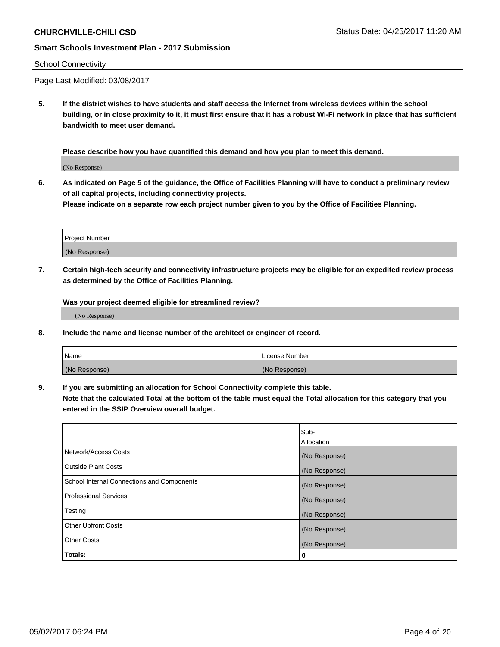#### School Connectivity

Page Last Modified: 03/08/2017

**5. If the district wishes to have students and staff access the Internet from wireless devices within the school building, or in close proximity to it, it must first ensure that it has a robust Wi-Fi network in place that has sufficient bandwidth to meet user demand.**

**Please describe how you have quantified this demand and how you plan to meet this demand.**

(No Response)

**6. As indicated on Page 5 of the guidance, the Office of Facilities Planning will have to conduct a preliminary review of all capital projects, including connectivity projects.**

**Please indicate on a separate row each project number given to you by the Office of Facilities Planning.**

| Project Number |  |
|----------------|--|
|                |  |
| (No Response)  |  |

**7. Certain high-tech security and connectivity infrastructure projects may be eligible for an expedited review process as determined by the Office of Facilities Planning.**

**Was your project deemed eligible for streamlined review?**

(No Response)

**8. Include the name and license number of the architect or engineer of record.**

| <b>Name</b>   | License Number |
|---------------|----------------|
| (No Response) | (No Response)  |

**9. If you are submitting an allocation for School Connectivity complete this table.**

**Note that the calculated Total at the bottom of the table must equal the Total allocation for this category that you entered in the SSIP Overview overall budget.** 

|                                            | Sub-              |
|--------------------------------------------|-------------------|
|                                            | <b>Allocation</b> |
| Network/Access Costs                       | (No Response)     |
| <b>Outside Plant Costs</b>                 | (No Response)     |
| School Internal Connections and Components | (No Response)     |
| <b>Professional Services</b>               | (No Response)     |
| Testing                                    | (No Response)     |
| <b>Other Upfront Costs</b>                 | (No Response)     |
| <b>Other Costs</b>                         | (No Response)     |
| Totals:                                    | 0                 |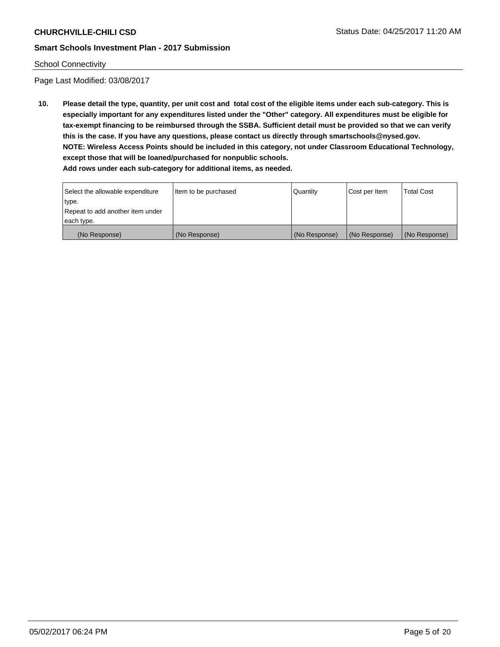## School Connectivity

Page Last Modified: 03/08/2017

**10. Please detail the type, quantity, per unit cost and total cost of the eligible items under each sub-category. This is especially important for any expenditures listed under the "Other" category. All expenditures must be eligible for tax-exempt financing to be reimbursed through the SSBA. Sufficient detail must be provided so that we can verify this is the case. If you have any questions, please contact us directly through smartschools@nysed.gov. NOTE: Wireless Access Points should be included in this category, not under Classroom Educational Technology, except those that will be loaned/purchased for nonpublic schools.**

| Select the allowable expenditure | Item to be purchased | Quantity      | Cost per Item | Total Cost    |
|----------------------------------|----------------------|---------------|---------------|---------------|
| type.                            |                      |               |               |               |
| Repeat to add another item under |                      |               |               |               |
| each type.                       |                      |               |               |               |
| (No Response)                    | (No Response)        | (No Response) | (No Response) | (No Response) |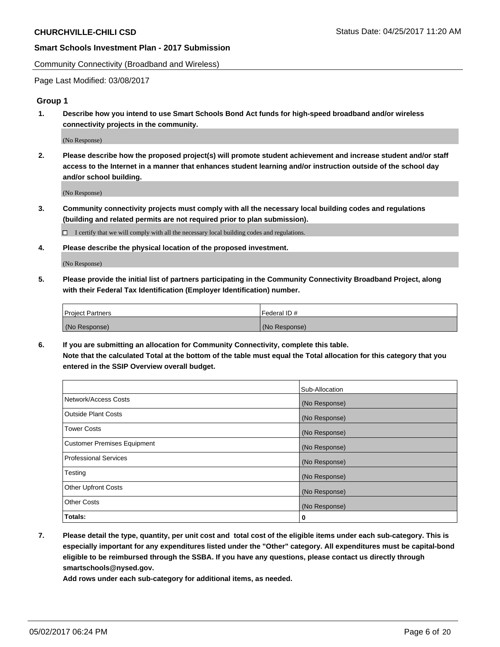Community Connectivity (Broadband and Wireless)

Page Last Modified: 03/08/2017

## **Group 1**

**1. Describe how you intend to use Smart Schools Bond Act funds for high-speed broadband and/or wireless connectivity projects in the community.**

(No Response)

**2. Please describe how the proposed project(s) will promote student achievement and increase student and/or staff access to the Internet in a manner that enhances student learning and/or instruction outside of the school day and/or school building.**

(No Response)

**3. Community connectivity projects must comply with all the necessary local building codes and regulations (building and related permits are not required prior to plan submission).**

 $\Box$  I certify that we will comply with all the necessary local building codes and regulations.

**4. Please describe the physical location of the proposed investment.**

(No Response)

**5. Please provide the initial list of partners participating in the Community Connectivity Broadband Project, along with their Federal Tax Identification (Employer Identification) number.**

| <b>Project Partners</b> | Federal ID#     |
|-------------------------|-----------------|
| (No Response)           | l (No Response) |

**6. If you are submitting an allocation for Community Connectivity, complete this table. Note that the calculated Total at the bottom of the table must equal the Total allocation for this category that you entered in the SSIP Overview overall budget.**

|                                    | Sub-Allocation |
|------------------------------------|----------------|
| Network/Access Costs               | (No Response)  |
| Outside Plant Costs                | (No Response)  |
| <b>Tower Costs</b>                 | (No Response)  |
| <b>Customer Premises Equipment</b> | (No Response)  |
| <b>Professional Services</b>       | (No Response)  |
| Testing                            | (No Response)  |
| <b>Other Upfront Costs</b>         | (No Response)  |
| <b>Other Costs</b>                 | (No Response)  |
| Totals:                            | 0              |

**7. Please detail the type, quantity, per unit cost and total cost of the eligible items under each sub-category. This is especially important for any expenditures listed under the "Other" category. All expenditures must be capital-bond eligible to be reimbursed through the SSBA. If you have any questions, please contact us directly through smartschools@nysed.gov.**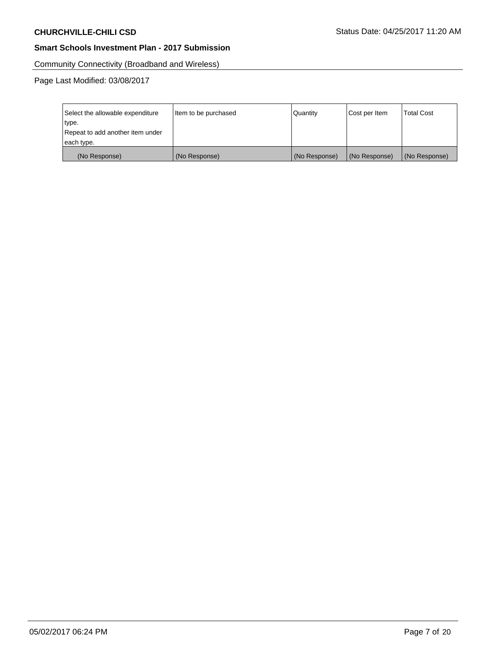Community Connectivity (Broadband and Wireless)

| Select the allowable expenditure<br>type. | Item to be purchased | Quantity      | Cost per Item | <b>Total Cost</b> |
|-------------------------------------------|----------------------|---------------|---------------|-------------------|
| Repeat to add another item under          |                      |               |               |                   |
| each type.                                |                      |               |               |                   |
| (No Response)                             | (No Response)        | (No Response) | (No Response) | (No Response)     |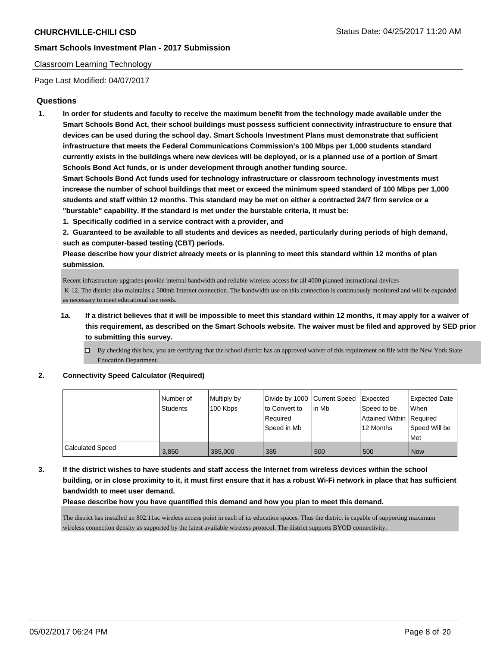### Classroom Learning Technology

Page Last Modified: 04/07/2017

## **Questions**

**1. In order for students and faculty to receive the maximum benefit from the technology made available under the Smart Schools Bond Act, their school buildings must possess sufficient connectivity infrastructure to ensure that devices can be used during the school day. Smart Schools Investment Plans must demonstrate that sufficient infrastructure that meets the Federal Communications Commission's 100 Mbps per 1,000 students standard currently exists in the buildings where new devices will be deployed, or is a planned use of a portion of Smart Schools Bond Act funds, or is under development through another funding source.**

**Smart Schools Bond Act funds used for technology infrastructure or classroom technology investments must increase the number of school buildings that meet or exceed the minimum speed standard of 100 Mbps per 1,000 students and staff within 12 months. This standard may be met on either a contracted 24/7 firm service or a "burstable" capability. If the standard is met under the burstable criteria, it must be:**

- **1. Specifically codified in a service contract with a provider, and**
- **2. Guaranteed to be available to all students and devices as needed, particularly during periods of high demand, such as computer-based testing (CBT) periods.**

**Please describe how your district already meets or is planning to meet this standard within 12 months of plan submission.**

Recent infrastructure upgrades provide internal bandwidth and reliable wireless access for all 4000 planned instructional devices K-12. The district also maintains a 500mb Internet connection. The bandwidth use on this connection is continuously monitored and will be expanded as necessary to meet educational use needs.

- **1a. If a district believes that it will be impossible to meet this standard within 12 months, it may apply for a waiver of this requirement, as described on the Smart Schools website. The waiver must be filed and approved by SED prior to submitting this survey.**
	- $\Box$  By checking this box, you are certifying that the school district has an approved waiver of this requirement on file with the New York State Education Department.

**2. Connectivity Speed Calculator (Required)**

|                  | Number of       | Multiply by | Divide by 1000 Current Speed |        | Expected                   | Expected Date |
|------------------|-----------------|-------------|------------------------------|--------|----------------------------|---------------|
|                  | <b>Students</b> | 100 Kbps    | to Convert to                | lin Mb | Speed to be                | <b>When</b>   |
|                  |                 |             | Required                     |        | Attained Within   Required |               |
|                  |                 |             | Speed in Mb                  |        | 12 Months                  | Speed Will be |
|                  |                 |             |                              |        |                            | Met           |
| Calculated Speed | 3.850           | 385,000     | 385                          | 500    | 500                        | Now           |

**3. If the district wishes to have students and staff access the Internet from wireless devices within the school building, or in close proximity to it, it must first ensure that it has a robust Wi-Fi network in place that has sufficient bandwidth to meet user demand.**

**Please describe how you have quantified this demand and how you plan to meet this demand.**

The district has installed an 802.11ac wireless access point in each of its education spaces. Thus the district is capable of supporting maximum wireless connection density as supported by the latest available wireless protocol. The district supports BYOD connectivity.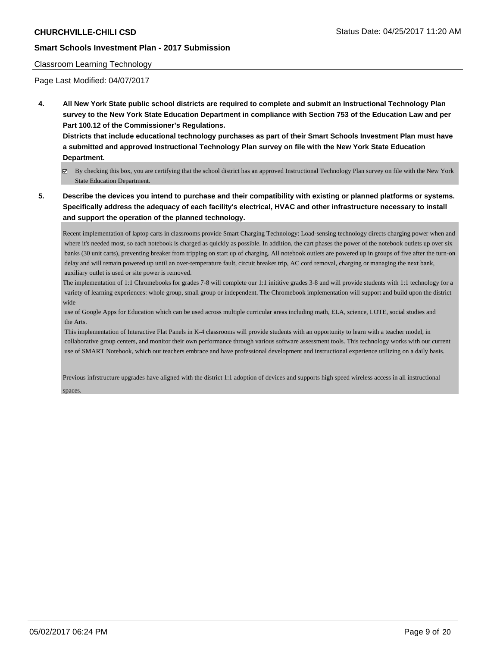#### Classroom Learning Technology

Page Last Modified: 04/07/2017

**4. All New York State public school districts are required to complete and submit an Instructional Technology Plan survey to the New York State Education Department in compliance with Section 753 of the Education Law and per Part 100.12 of the Commissioner's Regulations.**

**Districts that include educational technology purchases as part of their Smart Schools Investment Plan must have a submitted and approved Instructional Technology Plan survey on file with the New York State Education Department.**

- By checking this box, you are certifying that the school district has an approved Instructional Technology Plan survey on file with the New York State Education Department.
- **5. Describe the devices you intend to purchase and their compatibility with existing or planned platforms or systems. Specifically address the adequacy of each facility's electrical, HVAC and other infrastructure necessary to install and support the operation of the planned technology.**

Recent implementation of laptop carts in classrooms provide Smart Charging Technology: Load-sensing technology directs charging power when and where it's needed most, so each notebook is charged as quickly as possible. In addition, the cart phases the power of the notebook outlets up over six banks (30 unit carts), preventing breaker from tripping on start up of charging. All notebook outlets are powered up in groups of five after the turn-on delay and will remain powered up until an over-temperature fault, circuit breaker trip, AC cord removal, charging or managing the next bank, auxiliary outlet is used or site power is removed.

The implementation of 1:1 Chromebooks for grades 7-8 will complete our 1:1 inititive grades 3-8 and will provide students with 1:1 technology for a variety of learning experiences: whole group, small group or independent. The Chromebook implementation will support and build upon the district wide

 use of Google Apps for Education which can be used across multiple curricular areas including math, ELA, science, LOTE, social studies and the Arts.

 This implementation of Interactive Flat Panels in K-4 classrooms will provide students with an opportunity to learn with a teacher model, in collaborative group centers, and monitor their own performance through various software assessment tools. This technology works with our current use of SMART Notebook, which our teachers embrace and have professional development and instructional experience utilizing on a daily basis.

Previous infrstructure upgrades have aligned with the district 1:1 adoption of devices and supports high speed wireless access in all instructional spaces.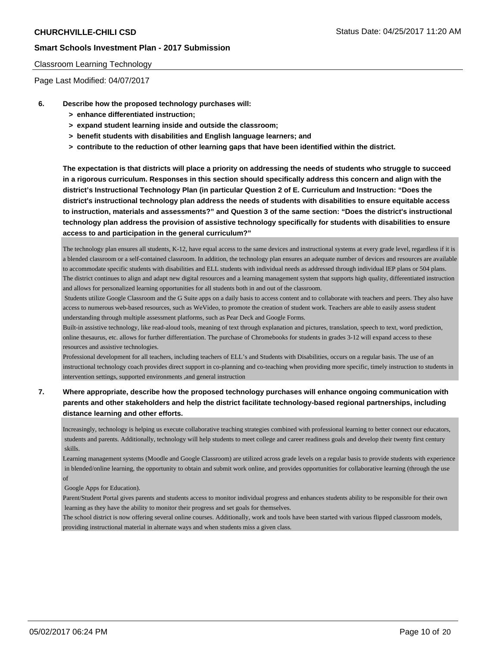#### Classroom Learning Technology

Page Last Modified: 04/07/2017

- **6. Describe how the proposed technology purchases will:**
	- **> enhance differentiated instruction;**
	- **> expand student learning inside and outside the classroom;**
	- **> benefit students with disabilities and English language learners; and**
	- **> contribute to the reduction of other learning gaps that have been identified within the district.**

**The expectation is that districts will place a priority on addressing the needs of students who struggle to succeed in a rigorous curriculum. Responses in this section should specifically address this concern and align with the district's Instructional Technology Plan (in particular Question 2 of E. Curriculum and Instruction: "Does the district's instructional technology plan address the needs of students with disabilities to ensure equitable access to instruction, materials and assessments?" and Question 3 of the same section: "Does the district's instructional technology plan address the provision of assistive technology specifically for students with disabilities to ensure access to and participation in the general curriculum?"**

The technology plan ensures all students, K-12, have equal access to the same devices and instructional systems at every grade level, regardless if it is a blended classroom or a self-contained classroom. In addition, the technology plan ensures an adequate number of devices and resources are available to accommodate specific students with disabilities and ELL students with individual needs as addressed through individual IEP plans or 504 plans. The district continues to align and adapt new digital resources and a learning management system that supports high quality, differentiated instruction and allows for personalized learning opportunities for all students both in and out of the classroom.

 Students utilize Google Classroom and the G Suite apps on a daily basis to access content and to collaborate with teachers and peers. They also have access to numerous web-based resources, such as WeVideo, to promote the creation of student work. Teachers are able to easily assess student understanding through multiple assessment platforms, such as Pear Deck and Google Forms.

Built-in assistive technology, like read-aloud tools, meaning of text through explanation and pictures, translation, speech to text, word prediction, online thesaurus, etc. allows for further differentiation. The purchase of Chromebooks for students in grades 3-12 will expand access to these resources and assistive technologies.

Professional development for all teachers, including teachers of ELL's and Students with Disabilities, occurs on a regular basis. The use of an instructional technology coach provides direct support in co-planning and co-teaching when providing more specific, timely instruction to students in intervention settings, supported environments ,and general instruction

**7. Where appropriate, describe how the proposed technology purchases will enhance ongoing communication with parents and other stakeholders and help the district facilitate technology-based regional partnerships, including distance learning and other efforts.**

Increasingly, technology is helping us execute collaborative teaching strategies combined with professional learning to better connect our educators, students and parents. Additionally, technology will help students to meet college and career readiness goals and develop their twenty first century skills.

Learning management systems (Moodle and Google Classroom) are utilized across grade levels on a regular basis to provide students with experience in blended/online learning, the opportunity to obtain and submit work online, and provides opportunities for collaborative learning (through the use of

Google Apps for Education).

Parent/Student Portal gives parents and students access to monitor individual progress and enhances students ability to be responsible for their own learning as they have the ability to monitor their progress and set goals for themselves.

The school district is now offering several online courses. Additionally, work and tools have been started with various flipped classroom models, providing instructional material in alternate ways and when students miss a given class.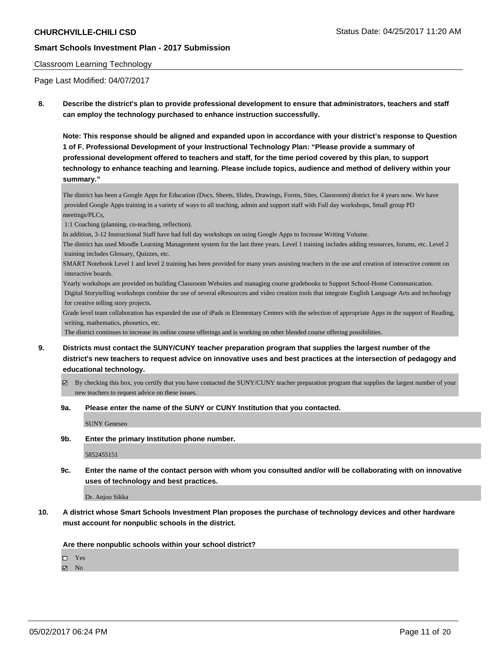#### Classroom Learning Technology

Page Last Modified: 04/07/2017

**8. Describe the district's plan to provide professional development to ensure that administrators, teachers and staff can employ the technology purchased to enhance instruction successfully.**

**Note: This response should be aligned and expanded upon in accordance with your district's response to Question 1 of F. Professional Development of your Instructional Technology Plan: "Please provide a summary of professional development offered to teachers and staff, for the time period covered by this plan, to support technology to enhance teaching and learning. Please include topics, audience and method of delivery within your summary."**

The district has been a Google Apps for Education (Docs, Sheets, Slides, Drawings, Forms, Sites, Classroom) district for 4 years now. We have provided Google Apps training in a variety of ways to all teaching, admin and support staff with Full day workshops, Small group PD meetings/PLCs,

1:1 Coaching (planning, co-teaching, reflection).

In addition, 3-12 Instructional Staff have had full day workshops on using Google Apps to Increase Writing Volume.

The district has used Moodle Learning Management system for the last three years. Level 1 training includes adding resources, forums, etc. Level 2 training includes Glossary, Quizzes, etc.

SMART Notebook Level 1 and level 2 training has been provided for many years assisting teachers in the use and creation of interactive content on interactive boards.

Yearly workshops are provided on building Classroom Websites and managing course gradebooks to Support School-Home Communication.

 Digital Storytelling workshops combine the use of several eResources and video creation tools that integrate English Language Arts and technology for creative telling story projects.

Grade level team collaboration has expanded the use of iPads in Elementary Centers with the selection of appropriate Apps in the support of Reading, writing, mathematics, phonetics, etc.

The district continues to increase its online course offerings and is working on other blended course offering possibilities.

- **9. Districts must contact the SUNY/CUNY teacher preparation program that supplies the largest number of the district's new teachers to request advice on innovative uses and best practices at the intersection of pedagogy and educational technology.**
	- $\boxtimes$  By checking this box, you certify that you have contacted the SUNY/CUNY teacher preparation program that supplies the largest number of your new teachers to request advice on these issues.

#### **9a. Please enter the name of the SUNY or CUNY Institution that you contacted.**

SUNY Geneseo

**9b. Enter the primary Institution phone number.**

5852455151

**9c. Enter the name of the contact person with whom you consulted and/or will be collaborating with on innovative uses of technology and best practices.**

Dr. Anjoo Sikka

**10. A district whose Smart Schools Investment Plan proposes the purchase of technology devices and other hardware must account for nonpublic schools in the district.**

**Are there nonpublic schools within your school district?**

Yes

 $\boxtimes$  No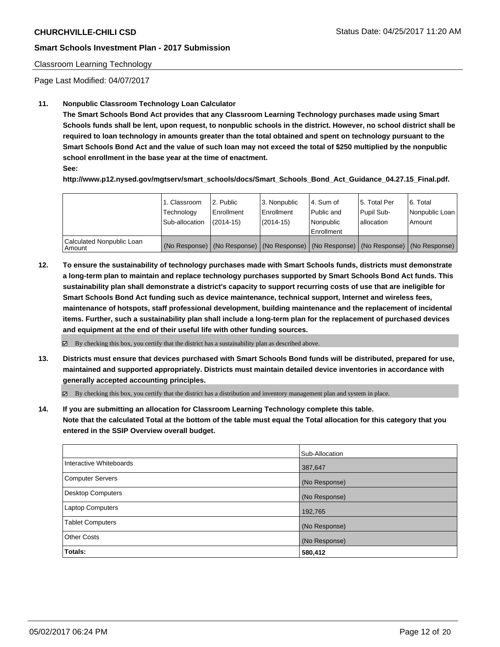### Classroom Learning Technology

Page Last Modified: 04/07/2017

## **11. Nonpublic Classroom Technology Loan Calculator**

**The Smart Schools Bond Act provides that any Classroom Learning Technology purchases made using Smart Schools funds shall be lent, upon request, to nonpublic schools in the district. However, no school district shall be required to loan technology in amounts greater than the total obtained and spent on technology pursuant to the Smart Schools Bond Act and the value of such loan may not exceed the total of \$250 multiplied by the nonpublic school enrollment in the base year at the time of enactment.**

**See:**

**http://www.p12.nysed.gov/mgtserv/smart\_schools/docs/Smart\_Schools\_Bond\_Act\_Guidance\_04.27.15\_Final.pdf.**

|                                       | 1. Classroom<br>Technology<br>Sub-allocation | 2. Public<br>Enrollment<br>$(2014-15)$ | 3. Nonpublic<br>Enrollment<br>$(2014-15)$ | l 4. Sum of<br>l Public and<br>l Nonpublic<br>l Enrollment | 15. Total Per<br>Pupil Sub-<br>lallocation | 6. Total<br>Nonpublic Loan  <br>Amount                                                        |
|---------------------------------------|----------------------------------------------|----------------------------------------|-------------------------------------------|------------------------------------------------------------|--------------------------------------------|-----------------------------------------------------------------------------------------------|
| Calculated Nonpublic Loan<br>l Amount |                                              |                                        |                                           |                                                            |                                            | (No Response)   (No Response)   (No Response)   (No Response)   (No Response)   (No Response) |

**12. To ensure the sustainability of technology purchases made with Smart Schools funds, districts must demonstrate a long-term plan to maintain and replace technology purchases supported by Smart Schools Bond Act funds. This sustainability plan shall demonstrate a district's capacity to support recurring costs of use that are ineligible for Smart Schools Bond Act funding such as device maintenance, technical support, Internet and wireless fees, maintenance of hotspots, staff professional development, building maintenance and the replacement of incidental items. Further, such a sustainability plan shall include a long-term plan for the replacement of purchased devices and equipment at the end of their useful life with other funding sources.**

 $\boxtimes$  By checking this box, you certify that the district has a sustainability plan as described above.

**13. Districts must ensure that devices purchased with Smart Schools Bond funds will be distributed, prepared for use, maintained and supported appropriately. Districts must maintain detailed device inventories in accordance with generally accepted accounting principles.**

By checking this box, you certify that the district has a distribution and inventory management plan and system in place.

**14. If you are submitting an allocation for Classroom Learning Technology complete this table. Note that the calculated Total at the bottom of the table must equal the Total allocation for this category that you entered in the SSIP Overview overall budget.**

|                         | Sub-Allocation |
|-------------------------|----------------|
| Interactive Whiteboards | 387,647        |
| Computer Servers        | (No Response)  |
| Desktop Computers       | (No Response)  |
| <b>Laptop Computers</b> | 192,765        |
| <b>Tablet Computers</b> | (No Response)  |
| <b>Other Costs</b>      | (No Response)  |
| Totals:                 | 580,412        |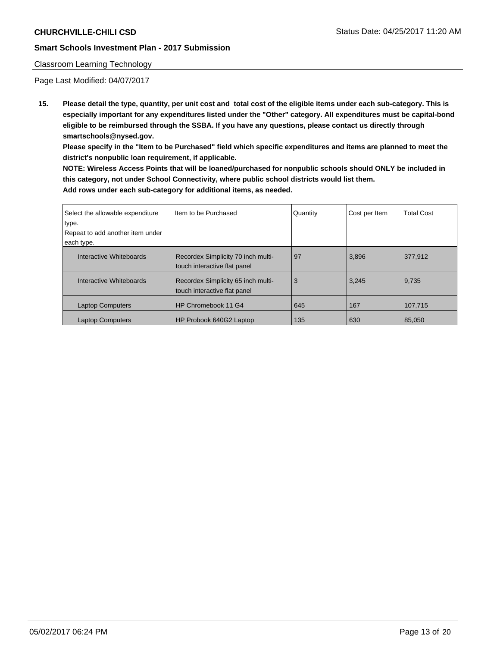#### Classroom Learning Technology

Page Last Modified: 04/07/2017

**15. Please detail the type, quantity, per unit cost and total cost of the eligible items under each sub-category. This is especially important for any expenditures listed under the "Other" category. All expenditures must be capital-bond eligible to be reimbursed through the SSBA. If you have any questions, please contact us directly through smartschools@nysed.gov.**

**Please specify in the "Item to be Purchased" field which specific expenditures and items are planned to meet the district's nonpublic loan requirement, if applicable.**

**NOTE: Wireless Access Points that will be loaned/purchased for nonpublic schools should ONLY be included in this category, not under School Connectivity, where public school districts would list them. Add rows under each sub-category for additional items, as needed.**

| Select the allowable expenditure<br>type. | Iltem to be Purchased                                              | Quantity | Cost per Item | <b>Total Cost</b> |
|-------------------------------------------|--------------------------------------------------------------------|----------|---------------|-------------------|
| Repeat to add another item under          |                                                                    |          |               |                   |
|                                           |                                                                    |          |               |                   |
| each type.                                |                                                                    |          |               |                   |
| Interactive Whiteboards                   | Recordex Simplicity 70 inch multi-<br>touch interactive flat panel | 97       | 3,896         | 377.912           |
| Interactive Whiteboards                   | Recordex Simplicity 65 inch multi-<br>touch interactive flat panel | 3        | 3,245         | 9,735             |
| <b>Laptop Computers</b>                   | HP Chromebook 11 G4                                                | 645      | 167           | 107.715           |
| <b>Laptop Computers</b>                   | HP Probook 640G2 Laptop                                            | 135      | 630           | 85.050            |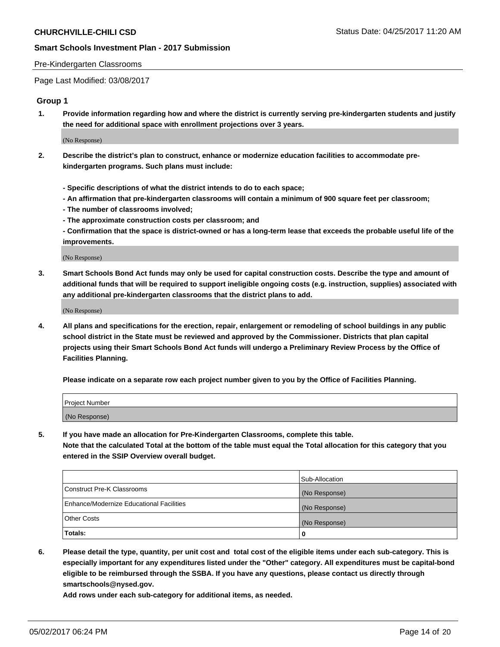#### Pre-Kindergarten Classrooms

Page Last Modified: 03/08/2017

## **Group 1**

**1. Provide information regarding how and where the district is currently serving pre-kindergarten students and justify the need for additional space with enrollment projections over 3 years.**

(No Response)

- **2. Describe the district's plan to construct, enhance or modernize education facilities to accommodate prekindergarten programs. Such plans must include:**
	- **Specific descriptions of what the district intends to do to each space;**
	- **An affirmation that pre-kindergarten classrooms will contain a minimum of 900 square feet per classroom;**
	- **The number of classrooms involved;**
	- **The approximate construction costs per classroom; and**
	- **Confirmation that the space is district-owned or has a long-term lease that exceeds the probable useful life of the improvements.**

(No Response)

**3. Smart Schools Bond Act funds may only be used for capital construction costs. Describe the type and amount of additional funds that will be required to support ineligible ongoing costs (e.g. instruction, supplies) associated with any additional pre-kindergarten classrooms that the district plans to add.**

(No Response)

**4. All plans and specifications for the erection, repair, enlargement or remodeling of school buildings in any public school district in the State must be reviewed and approved by the Commissioner. Districts that plan capital projects using their Smart Schools Bond Act funds will undergo a Preliminary Review Process by the Office of Facilities Planning.**

**Please indicate on a separate row each project number given to you by the Office of Facilities Planning.**

| Project Number |  |
|----------------|--|
| (No Response)  |  |

**5. If you have made an allocation for Pre-Kindergarten Classrooms, complete this table. Note that the calculated Total at the bottom of the table must equal the Total allocation for this category that you entered in the SSIP Overview overall budget.**

| Totals:                                  | 0              |
|------------------------------------------|----------------|
| Other Costs                              | (No Response)  |
| Enhance/Modernize Educational Facilities | (No Response)  |
| Construct Pre-K Classrooms               | (No Response)  |
|                                          | Sub-Allocation |

**6. Please detail the type, quantity, per unit cost and total cost of the eligible items under each sub-category. This is especially important for any expenditures listed under the "Other" category. All expenditures must be capital-bond eligible to be reimbursed through the SSBA. If you have any questions, please contact us directly through smartschools@nysed.gov.**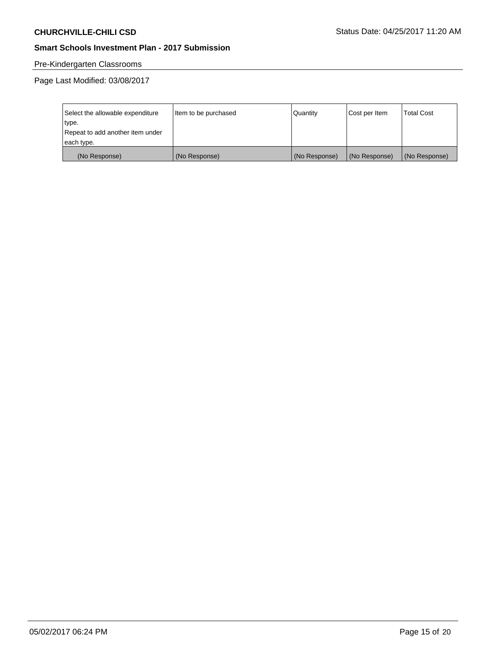# Pre-Kindergarten Classrooms

| Select the allowable expenditure | Item to be purchased | Quantity      | Cost per Item | <b>Total Cost</b> |
|----------------------------------|----------------------|---------------|---------------|-------------------|
| type.                            |                      |               |               |                   |
| Repeat to add another item under |                      |               |               |                   |
| each type.                       |                      |               |               |                   |
| (No Response)                    | (No Response)        | (No Response) | (No Response) | (No Response)     |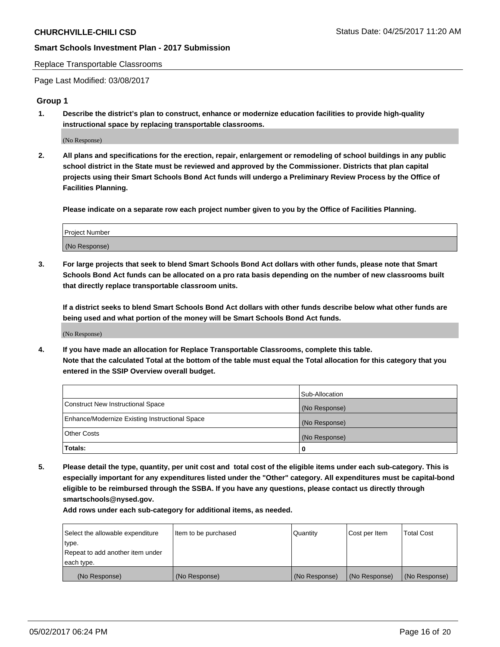#### Replace Transportable Classrooms

Page Last Modified: 03/08/2017

## **Group 1**

**1. Describe the district's plan to construct, enhance or modernize education facilities to provide high-quality instructional space by replacing transportable classrooms.**

(No Response)

**2. All plans and specifications for the erection, repair, enlargement or remodeling of school buildings in any public school district in the State must be reviewed and approved by the Commissioner. Districts that plan capital projects using their Smart Schools Bond Act funds will undergo a Preliminary Review Process by the Office of Facilities Planning.**

**Please indicate on a separate row each project number given to you by the Office of Facilities Planning.**

| Project Number |  |
|----------------|--|
| (No Response)  |  |

**3. For large projects that seek to blend Smart Schools Bond Act dollars with other funds, please note that Smart Schools Bond Act funds can be allocated on a pro rata basis depending on the number of new classrooms built that directly replace transportable classroom units.**

**If a district seeks to blend Smart Schools Bond Act dollars with other funds describe below what other funds are being used and what portion of the money will be Smart Schools Bond Act funds.**

(No Response)

**4. If you have made an allocation for Replace Transportable Classrooms, complete this table. Note that the calculated Total at the bottom of the table must equal the Total allocation for this category that you entered in the SSIP Overview overall budget.**

|                                                | Sub-Allocation |
|------------------------------------------------|----------------|
| Construct New Instructional Space              | (No Response)  |
| Enhance/Modernize Existing Instructional Space | (No Response)  |
| Other Costs                                    | (No Response)  |
| Totals:                                        | 0              |

**5. Please detail the type, quantity, per unit cost and total cost of the eligible items under each sub-category. This is especially important for any expenditures listed under the "Other" category. All expenditures must be capital-bond eligible to be reimbursed through the SSBA. If you have any questions, please contact us directly through smartschools@nysed.gov.**

| Select the allowable expenditure | Item to be purchased | Quantity      | Cost per Item | <b>Total Cost</b> |
|----------------------------------|----------------------|---------------|---------------|-------------------|
| type.                            |                      |               |               |                   |
| Repeat to add another item under |                      |               |               |                   |
| each type.                       |                      |               |               |                   |
| (No Response)                    | (No Response)        | (No Response) | (No Response) | (No Response)     |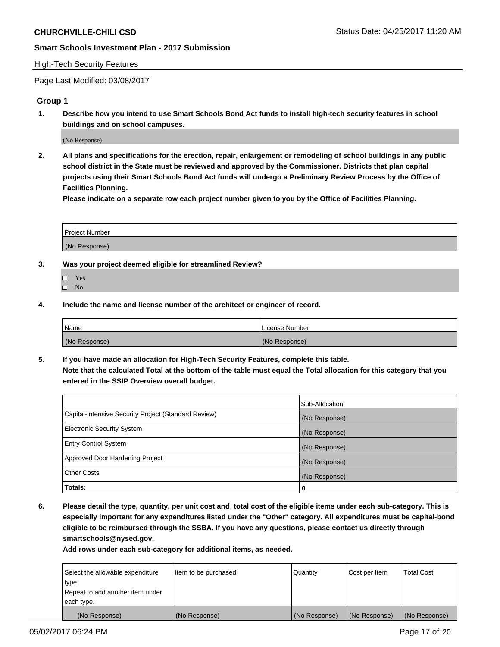#### High-Tech Security Features

Page Last Modified: 03/08/2017

## **Group 1**

**1. Describe how you intend to use Smart Schools Bond Act funds to install high-tech security features in school buildings and on school campuses.**

(No Response)

**2. All plans and specifications for the erection, repair, enlargement or remodeling of school buildings in any public school district in the State must be reviewed and approved by the Commissioner. Districts that plan capital projects using their Smart Schools Bond Act funds will undergo a Preliminary Review Process by the Office of Facilities Planning.** 

**Please indicate on a separate row each project number given to you by the Office of Facilities Planning.**

| Project Number |  |
|----------------|--|
|                |  |
| (No Response)  |  |

- **3. Was your project deemed eligible for streamlined Review?**
	- Yes  $\hfill \square$  No
- **4. Include the name and license number of the architect or engineer of record.**

| Name          | License Number |
|---------------|----------------|
| (No Response) | (No Response)  |

**5. If you have made an allocation for High-Tech Security Features, complete this table. Note that the calculated Total at the bottom of the table must equal the Total allocation for this category that you entered in the SSIP Overview overall budget.**

|                                                      | Sub-Allocation |
|------------------------------------------------------|----------------|
| Capital-Intensive Security Project (Standard Review) | (No Response)  |
| <b>Electronic Security System</b>                    | (No Response)  |
| <b>Entry Control System</b>                          | (No Response)  |
| Approved Door Hardening Project                      | (No Response)  |
| <b>Other Costs</b>                                   | (No Response)  |
| Totals:                                              | 0              |

**6. Please detail the type, quantity, per unit cost and total cost of the eligible items under each sub-category. This is especially important for any expenditures listed under the "Other" category. All expenditures must be capital-bond eligible to be reimbursed through the SSBA. If you have any questions, please contact us directly through smartschools@nysed.gov.**

| Select the allowable expenditure | Item to be purchased | Quantity      | Cost per Item | <b>Total Cost</b> |
|----------------------------------|----------------------|---------------|---------------|-------------------|
| type.                            |                      |               |               |                   |
| Repeat to add another item under |                      |               |               |                   |
| each type.                       |                      |               |               |                   |
| (No Response)                    | (No Response)        | (No Response) | (No Response) | (No Response)     |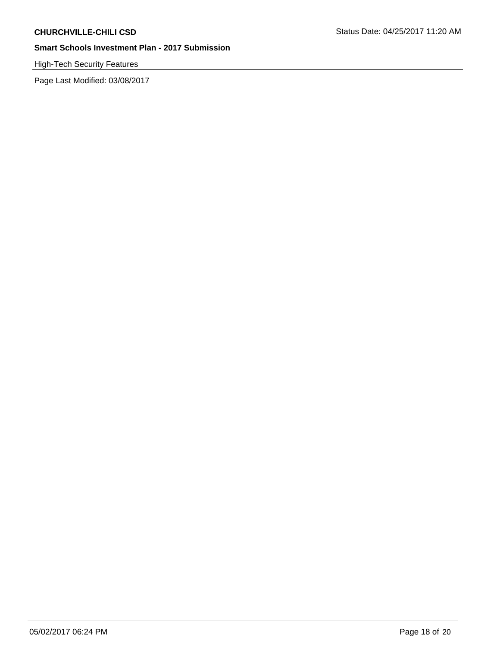# High-Tech Security Features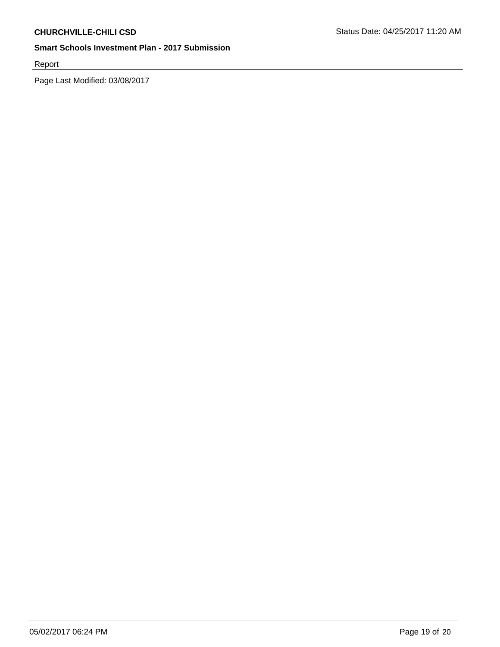Report